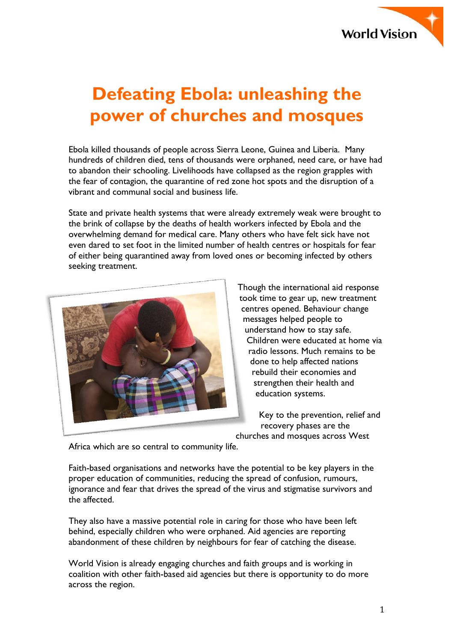

# **Defeating Ebola: unleashing the power of churches and mosques**

Ebola killed thousands of people across Sierra Leone, Guinea and Liberia. Many hundreds of children died, tens of thousands were orphaned, need care, or have had to abandon their schooling. Livelihoods have collapsed as the region grapples with the fear of contagion, the quarantine of red zone hot spots and the disruption of a vibrant and communal social and business life.

State and private health systems that were already extremely weak were brought to the brink of collapse by the deaths of health workers infected by Ebola and the overwhelming demand for medical care. Many others who have felt sick have not even dared to set foot in the limited number of health centres or hospitals for fear of either being quarantined away from loved ones or becoming infected by others seeking treatment.



Though the international aid response took time to gear up, new treatment centres opened. Behaviour change messages helped people to understand how to stay safe. Children were educated at home via radio lessons. Much remains to be done to help affected nations rebuild their economies and strengthen their health and education systems.

Key to the prevention, relief and recovery phases are the churches and mosques across West

Africa which are so central to community life.

Faith-based organisations and networks have the potential to be key players in the proper education of communities, reducing the spread of confusion, rumours, ignorance and fear that drives the spread of the virus and stigmatise survivors and the affected.

They also have a massive potential role in caring for those who have been left behind, especially children who were orphaned. Aid agencies are reporting abandonment of these children by neighbours for fear of catching the disease.

World Vision is already engaging churches and faith groups and is working in coalition with other faith-based aid agencies but there is opportunity to do more across the region.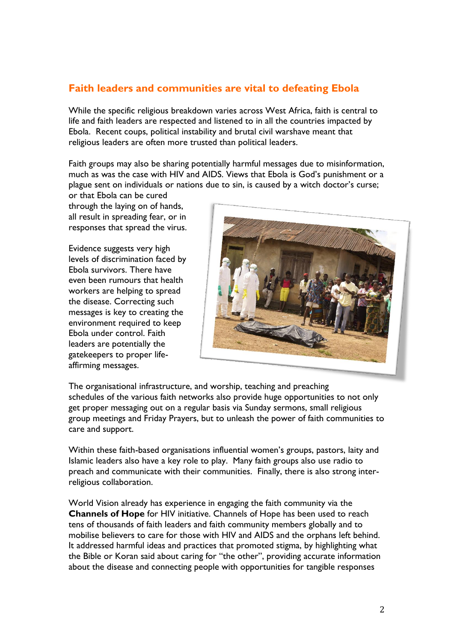# **Faith leaders and communities are vital to defeating Ebola**

While the specific religious breakdown varies across West Africa, faith is central to life and faith leaders are respected and listened to in all the countries impacted by Ebola. Recent coups, political instability and brutal civil warshave meant that religious leaders are often more trusted than political leaders.

Faith groups may also be sharing potentially harmful messages due to misinformation, much as was the case with HIV and AIDS. Views that Ebola is God's punishment or a plague sent on individuals or nations due to sin, is caused by a witch doctor's curse;

or that Ebola can be cured through the laying on of hands, all result in spreading fear, or in responses that spread the virus.

Evidence suggests very high levels of discrimination faced by Ebola survivors. There have even been rumours that health workers are helping to spread the disease. Correcting such messages is key to creating the environment required to keep Ebola under control. Faith leaders are potentially the gatekeepers to proper lifeaffirming messages.



The organisational infrastructure, and worship, teaching and preaching schedules of the various faith networks also provide huge opportunities to not only get proper messaging out on a regular basis via Sunday sermons, small religious group meetings and Friday Prayers, but to unleash the power of faith communities to care and support.

Within these faith-based organisations influential women's groups, pastors, laity and Islamic leaders also have a key role to play. Many faith groups also use radio to preach and communicate with their communities. Finally, there is also strong interreligious collaboration.

World Vision already has experience in engaging the faith community via the **Channels of Hope** for HIV initiative. Channels of Hope has been used to reach tens of thousands of faith leaders and faith community members globally and to mobilise believers to care for those with HIV and AIDS and the orphans left behind. It addressed harmful ideas and practices that promoted stigma, by highlighting what the Bible or Koran said about caring for "the other", providing accurate information about the disease and connecting people with opportunities for tangible responses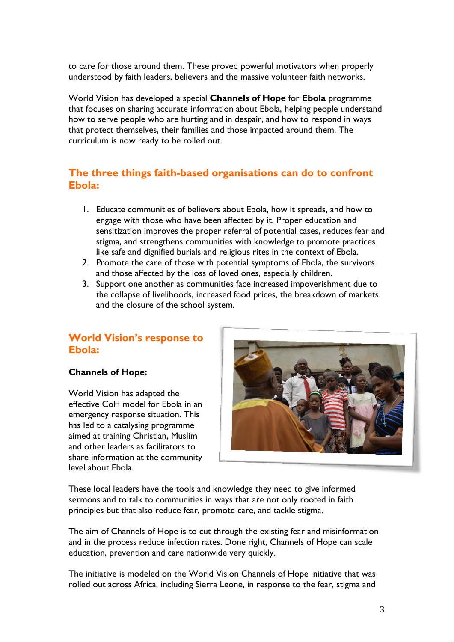to care for those around them. These proved powerful motivators when properly understood by faith leaders, believers and the massive volunteer faith networks.

World Vision has developed a special **Channels of Hope** for **Ebola** programme that focuses on sharing accurate information about Ebola, helping people understand how to serve people who are hurting and in despair, and how to respond in ways that protect themselves, their families and those impacted around them. The curriculum is now ready to be rolled out.

## **The three things faith-based organisations can do to confront Ebola:**

- 1. Educate communities of believers about Ebola, how it spreads, and how to engage with those who have been affected by it. Proper education and sensitization improves the proper referral of potential cases, reduces fear and stigma, and strengthens communities with knowledge to promote practices like safe and dignified burials and religious rites in the context of Ebola.
- 2. Promote the care of those with potential symptoms of Ebola, the survivors and those affected by the loss of loved ones, especially children.
- 3. Support one another as communities face increased impoverishment due to the collapse of livelihoods, increased food prices, the breakdown of markets and the closure of the school system.

## **World Vision's response to Ebola:**

## **Channels of Hope:**

World Vision has adapted the effective CoH model for Ebola in an emergency response situation. This has led to a catalysing programme aimed at training Christian, Muslim and other leaders as facilitators to share information at the community level about Ebola.



These local leaders have the tools and knowledge they need to give informed sermons and to talk to communities in ways that are not only rooted in faith principles but that also reduce fear, promote care, and tackle stigma.

The aim of Channels of Hope is to cut through the existing fear and misinformation and in the process reduce infection rates. Done right, Channels of Hope can scale education, prevention and care nationwide very quickly.

The initiative is modeled on the World Vision Channels of Hope initiative that was rolled out across Africa, including Sierra Leone, in response to the fear, stigma and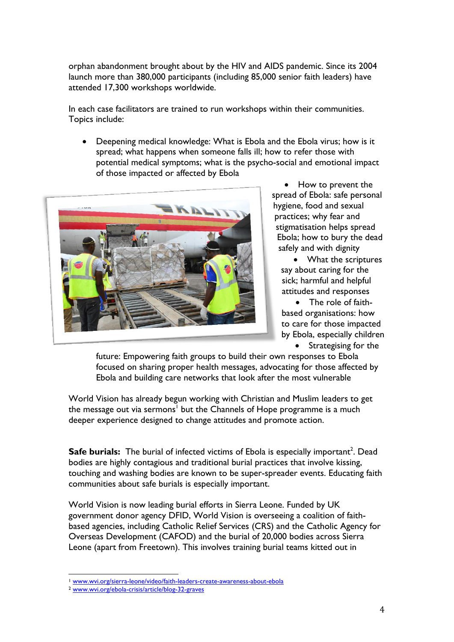orphan abandonment brought about by the HIV and AIDS pandemic. Since its 2004 launch more than 380,000 participants (including 85,000 senior faith leaders) have attended 17,300 workshops worldwide.

In each case facilitators are trained to run workshops within their communities. Topics include:

 Deepening medical knowledge: What is Ebola and the Ebola virus; how is it spread; what happens when someone falls ill; how to refer those with potential medical symptoms; what is the psycho-social and emotional impact of those impacted or affected by Ebola



• How to prevent the spread of Ebola: safe personal hygiene, food and sexual practices; why fear and stigmatisation helps spread Ebola; how to bury the dead safely and with dignity

• What the scriptures say about caring for the sick; harmful and helpful attitudes and responses

 The role of faithbased organisations: how to care for those impacted by Ebola, especially children

 Strategising for the future: Empowering faith groups to build their own responses to Ebola focused on sharing proper health messages, advocating for those affected by Ebola and building care networks that look after the most vulnerable

World Vision has already begun working with Christian and Muslim leaders to get the message out via sermons<sup>1</sup> but the Channels of Hope programme is a much deeper experience designed to change attitudes and promote action.

Safe burials: The burial of infected victims of Ebola is especially important<sup>2</sup>. Dead bodies are highly contagious and traditional burial practices that involve kissing, touching and washing bodies are known to be super-spreader events. Educating faith communities about safe burials is especially important.

World Vision is now leading burial efforts in Sierra Leone. Funded by UK government donor agency DFID, World Vision is overseeing a coalition of faithbased agencies, including Catholic Relief Services (CRS) and the Catholic Agency for Overseas Development (CAFOD) and the burial of 20,000 bodies across Sierra Leone (apart from Freetown). This involves training burial teams kitted out in

<u>.</u>

<sup>&</sup>lt;sup>1</sup> [www.wvi.org/sierra-leone/video/faith-leaders-create-awareness-about-ebola](http://www.wvi.org/sierra-leone/video/faith-leaders-create-awareness-about-ebola)

<sup>2</sup> [www.wvi.org/ebola-crisis/article/blog-32-graves](http://www.wvi.org/ebola-crisis/article/blog-32-graves)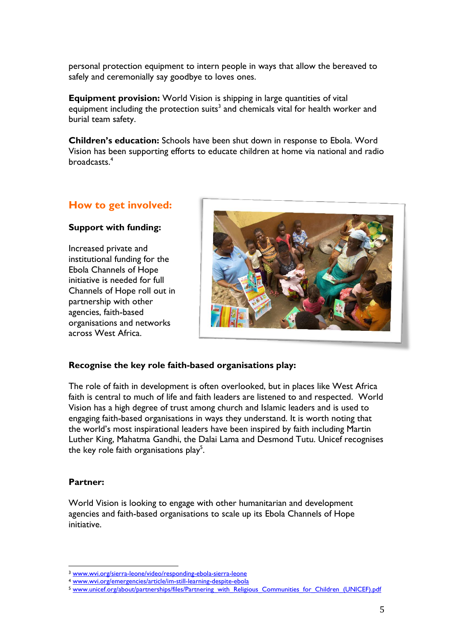personal protection equipment to intern people in ways that allow the bereaved to safely and ceremonially say goodbye to loves ones.

**Equipment provision:** World Vision is shipping in large quantities of vital equipment including the protection suits<sup>3</sup> and chemicals vital for health worker and burial team safety.

**Children's education:** Schools have been shut down in response to Ebola. Word Vision has been supporting efforts to educate children at home via national and radio broadcasts.<sup>4</sup>

## **How to get involved:**

## **Support with funding:**

Increased private and institutional funding for the Ebola Channels of Hope initiative is needed for full Channels of Hope roll out in partnership with other agencies, faith-based organisations and networks across West Africa.



## **Recognise the key role faith-based organisations play:**

The role of faith in development is often overlooked, but in places like West Africa faith is central to much of life and faith leaders are listened to and respected. World Vision has a high degree of trust among church and Islamic leaders and is used to engaging faith-based organisations in ways they understand. It is worth noting that the world's most inspirational leaders have been inspired by faith including Martin Luther King, Mahatma Gandhi, the Dalai Lama and Desmond Tutu. Unicef recognises the key role faith organisations play<sup>5</sup>.

## **Partner:**

World Vision is looking to engage with other humanitarian and development agencies and faith-based organisations to scale up its Ebola Channels of Hope initiative.

<sup>&</sup>lt;u>.</u> <sup>3</sup> [www.wvi.org/sierra-leone/video/responding-ebola-sierra-leone](http://www.wvi.org/sierra-leone/video/responding-ebola-sierra-leone)

<sup>4</sup> [www.wvi.org/emergencies/article/im-still-learning-despite-ebola](http://www.wvi.org/emergencies/article/im-still-learning-despite-ebola)

<sup>5</sup> [www.unicef.org/about/partnerships/files/Partnering\\_with\\_Religious\\_Communities\\_for\\_Children\\_\(UNICEF\).pdf](http://www.unicef.org/about/partnerships/files/Partnering_with_Religious_Communities_for_Children_(UNICEF).pdf)